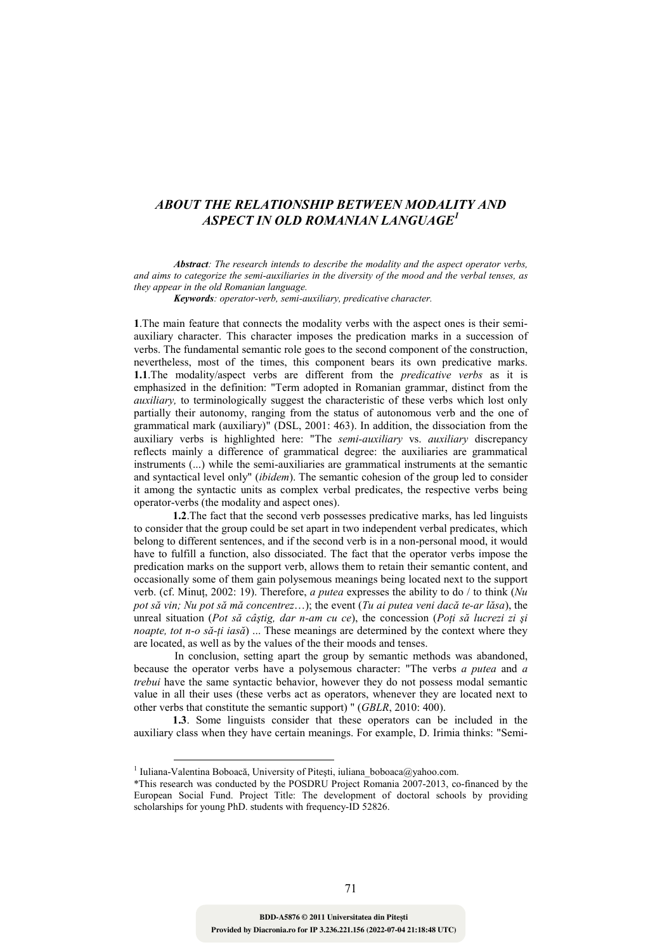## *ABOUT THE RELATIONSHIP BETWEEN MODALITY AND ASPECT IN OLD ROMANIAN LANGUAGE<sup>1</sup>*

 *Abstract: The research intends to describe the modality and the aspect operator verbs, and aims to categorize the semi-auxiliaries in the diversity of the mood and the verbal tenses, as they appear in the old Romanian language.* 

 *Keywords: operator-verb, semi-auxiliary, predicative character.* 

**1**.The main feature that connects the modality verbs with the aspect ones is their semiauxiliary character. This character imposes the predication marks in a succession of verbs. The fundamental semantic role goes to the second component of the construction, nevertheless, most of the times, this component bears its own predicative marks. **1.1**.The modality/aspect verbs are different from the *predicative verbs* as it is emphasized in the definition: "Term adopted in Romanian grammar, distinct from the *auxiliary,* to terminologically suggest the characteristic of these verbs which lost only partially their autonomy, ranging from the status of autonomous verb and the one of grammatical mark (auxiliary)" (DSL, 2001: 463). In addition, the dissociation from the auxiliary verbs is highlighted here: "The *semi-auxiliary* vs. *auxiliary* discrepancy reflects mainly a difference of grammatical degree: the auxiliaries are grammatical instruments (...) while the semi-auxiliaries are grammatical instruments at the semantic and syntactical level only" (*ibidem*). The semantic cohesion of the group led to consider it among the syntactic units as complex verbal predicates, the respective verbs being operator-verbs (the modality and aspect ones).

 **1.2**.The fact that the second verb possesses predicative marks, has led linguists to consider that the group could be set apart in two independent verbal predicates, which belong to different sentences, and if the second verb is in a non-personal mood, it would have to fulfill a function, also dissociated. The fact that the operator verbs impose the predication marks on the support verb, allows them to retain their semantic content, and occasionally some of them gain polysemous meanings being located next to the support verb. (cf. Minut, 2002: 19). Therefore, *a putea* expresses the ability to do / to think (*Nu pot să vin; Nu pot să mă concentrez*…); the event (*Tu ai putea veni dacă te-ar lăsa*), the unreal situation (Pot să câștig, dar n-am cu ce), the concession (Poți să lucrezi zi și *noapte, tot n-o să-ți iasă*) ... These meanings are determined by the context where they are located, as well as by the values of the their moods and tenses.

 In conclusion, setting apart the group by semantic methods was abandoned, because the operator verbs have a polysemous character: "The verbs *a putea* and *a trebui* have the same syntactic behavior, however they do not possess modal semantic value in all their uses (these verbs act as operators, whenever they are located next to other verbs that constitute the semantic support) " (*GBLR*, 2010: 400).

 **1.3**. Some linguists consider that these operators can be included in the auxiliary class when they have certain meanings. For example, D. Irimia thinks: "Semi-

<u>.</u>

<sup>&</sup>lt;sup>1</sup> Iuliana-Valentina Boboacă, University of Pitești, iuliana\_boboaca@yahoo.com.

<sup>\*</sup>This research was conducted by the POSDRU Project Romania 2007-2013, co-financed by the European Social Fund. Project Title: The development of doctoral schools by providing scholarships for young PhD. students with frequency-ID 52826.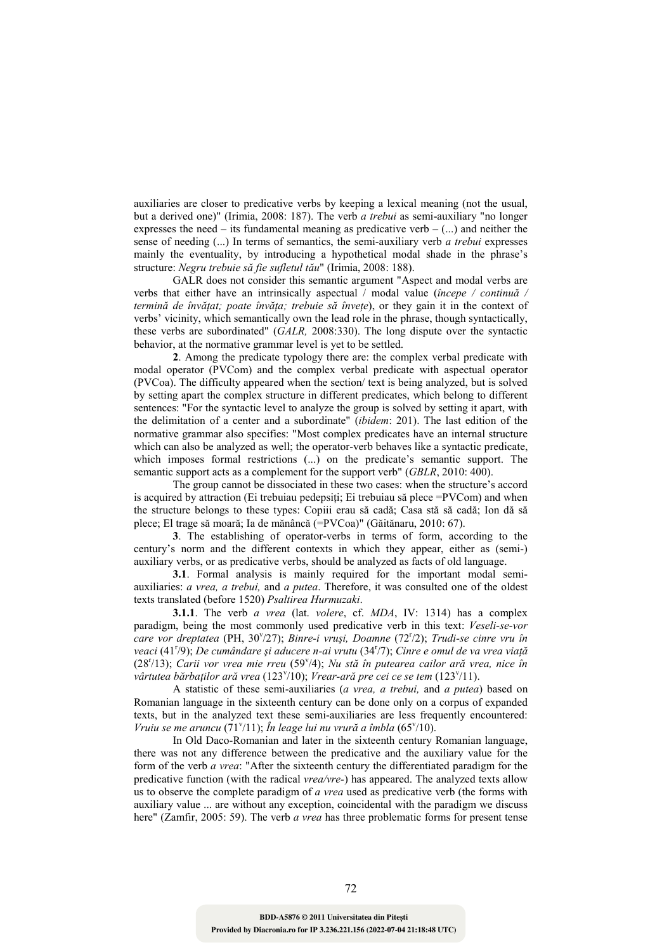auxiliaries are closer to predicative verbs by keeping a lexical meaning (not the usual, but a derived one)" (Irimia, 2008: 187). The verb *a trebui* as semi-auxiliary "no longer expresses the need – its fundamental meaning as predicative verb –  $(...)$  and neither the sense of needing (...) In terms of semantics, the semi-auxiliary verb *a trebui* expresses mainly the eventuality, by introducing a hypothetical modal shade in the phrase's structure: *Negru trebuie să fie sufletul tău*" (Irimia, 2008: 188).

 GALR does not consider this semantic argument "Aspect and modal verbs are verbs that either have an intrinsically aspectual / modal value (*începe / continuă / termină de învățat; poate învăța; trebuie să învețe*), or they gain it in the context of verbs' vicinity, which semantically own the lead role in the phrase, though syntactically, these verbs are subordinated" (*GALR,* 2008:330). The long dispute over the syntactic behavior, at the normative grammar level is yet to be settled.

 **2**. Among the predicate typology there are: the complex verbal predicate with modal operator (PVCom) and the complex verbal predicate with aspectual operator (PVCoa). The difficulty appeared when the section/ text is being analyzed, but is solved by setting apart the complex structure in different predicates, which belong to different sentences: "For the syntactic level to analyze the group is solved by setting it apart, with the delimitation of a center and a subordinate" (*ibidem*: 201). The last edition of the normative grammar also specifies: "Most complex predicates have an internal structure which can also be analyzed as well; the operator-verb behaves like a syntactic predicate, which imposes formal restrictions (...) on the predicate's semantic support. The semantic support acts as a complement for the support verb" (*GBLR*, 2010: 400).

 The group cannot be dissociated in these two cases: when the structure's accord is acquired by attraction (Ei trebuiau pedepsiți; Ei trebuiau să plece  $=PVCom$ ) and when the structure belongs to these types: Copiii erau să cadă; Casa stă să cadă; Ion dă să plece; El trage să moară; Ia de mănâncă (=PVCoa)" (Găitănaru, 2010: 67).

 **3**. The establishing of operator-verbs in terms of form, according to the century's norm and the different contexts in which they appear, either as (semi-) auxiliary verbs, or as predicative verbs, should be analyzed as facts of old language.

 **3.1**. Formal analysis is mainly required for the important modal semiauxiliaries: *a vrea, a trebui,* and *a putea*. Therefore, it was consulted one of the oldest texts translated (before 1520) *Psaltirea Hurmuzaki*.

 **3.1.1**. The verb *a vrea* (lat. *volere*, cf. *MDA*, IV: 1314) has a complex paradigm, being the most commonly used predicative verb in this text: *Veseli-se-vor*  care vor dreptatea (PH, 30<sup>v</sup>/27); *Binre-i vruși, Doamne* (72<sup>r</sup>/2); *Trudi-se cinre vru în* veaci (41<sup>r</sup>/9); *De cumândare și aducere n-ai vrutu* (34<sup>r</sup>/7); *Cinre e omul de va vrea viață* (28<sup>r</sup>/13); Carii vor vrea mie rreu (59<sup>v</sup>/4); Nu stă în putearea cailor ară vrea, nice în vârtutea bărbaților ară vrea (123<sup>v</sup>/10); *Vrear-ară pre cei ce se tem* (123<sup>v</sup>/11).

 A statistic of these semi-auxiliaries (*a vrea, a trebui,* and *a putea*) based on Romanian language in the sixteenth century can be done only on a corpus of expanded texts, but in the analyzed text these semi-auxiliaries are less frequently encountered: Vruiu se me aruncu (71<sup>v</sup>/11); În leage lui nu vrură a îmbla (65<sup>v</sup>/10).

 In Old Daco-Romanian and later in the sixteenth century Romanian language, there was not any difference between the predicative and the auxiliary value for the form of the verb *a vrea*: "After the sixteenth century the differentiated paradigm for the predicative function (with the radical *vrea/vre-*) has appeared. The analyzed texts allow us to observe the complete paradigm of *a vrea* used as predicative verb (the forms with auxiliary value ... are without any exception, coincidental with the paradigm we discuss here" (Zamfir, 2005: 59). The verb *a vrea* has three problematic forms for present tense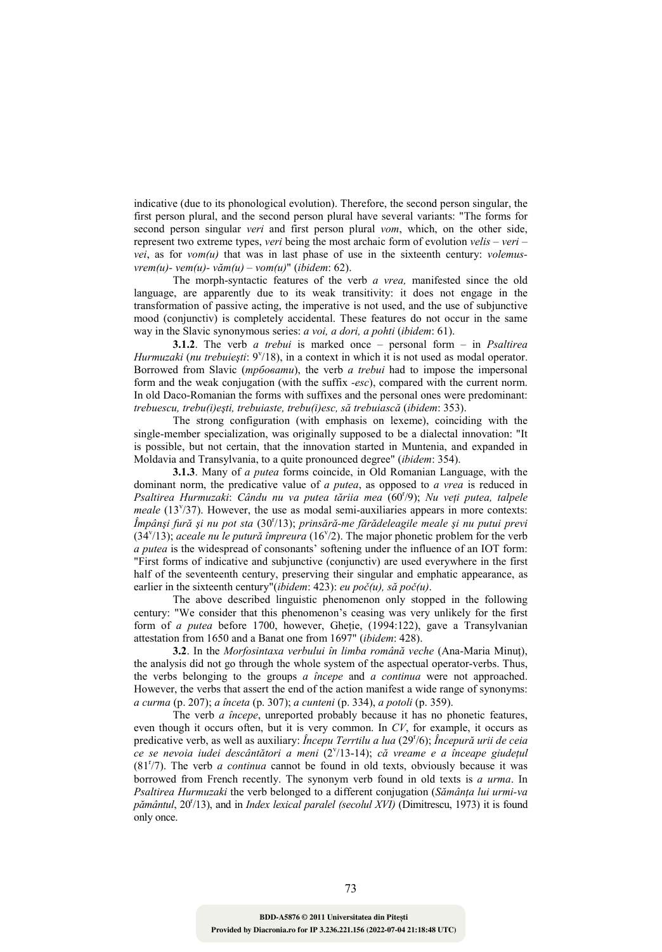indicative (due to its phonological evolution). Therefore, the second person singular, the first person plural, and the second person plural have several variants: "The forms for second person singular *veri* and first person plural *vom*, which, on the other side, represent two extreme types, *veri* being the most archaic form of evolution *velis – veri – vei*, as for *vom(u)* that was in last phase of use in the sixteenth century: *volemusvrem(u)- vem(u)- văm(u) – vom(u)*" (*ibidem*: 62).

 The morph-syntactic features of the verb *a vrea,* manifested since the old language, are apparently due to its weak transitivity: it does not engage in the transformation of passive acting, the imperative is not used, and the use of subjunctive mood (conjunctiv) is completely accidental. These features do not occur in the same way in the Slavic synonymous series: *a voi, a dori, a pohti* (*ibidem*: 61).

 **3.1.2**. The verb *a trebui* is marked once – personal form – in *Psaltirea*  Hurmuzaki (nu trebuiești: 9<sup>v</sup>/18), in a context in which it is not used as modal operator. Borrowed from Slavic (*трбовати*), the verb *a trebui* had to impose the impersonal form and the weak conjugation (with the suffix *-esc*), compared with the current norm. In old Daco-Romanian the forms with suffixes and the personal ones were predominant: *trebuescu, trebu(i)eşti, trebuiaste, trebu(i)esc, să trebuiască* (*ibidem*: 353).

 The strong configuration (with emphasis on lexeme), coinciding with the single-member specialization, was originally supposed to be a dialectal innovation: "It is possible, but not certain, that the innovation started in Muntenia, and expanded in Moldavia and Transylvania, to a quite pronounced degree" (*ibidem*: 354).

 **3.1.3**. Many of *a putea* forms coincide, in Old Romanian Language, with the dominant norm, the predicative value of *a putea*, as opposed to *a vrea* is reduced in Psaltirea Hurmuzaki: Cându nu va putea tăriia mea (60<sup>r</sup>/9); Nu veți putea, talpele *meale* (13<sup>*v*</sup>/37). However, the use as modal semi-auxiliaries appears in more contexts: *Împânşi fură şi nu pot sta* (30<sup>r</sup> /13); *prinsără-me fărădeleagile meale şi nu putui previ* (34<sup>v</sup>/13); *aceale nu le putură împreura* (16<sup>v</sup>/2). The major phonetic problem for the verb *a putea* is the widespread of consonants' softening under the influence of an IOT form: "First forms of indicative and subjunctive (conjunctiv) are used everywhere in the first half of the seventeenth century, preserving their singular and emphatic appearance, as earlier in the sixteenth century"(*ibidem*: 423): *eu poč(u), să poč(u)*.

 The above described linguistic phenomenon only stopped in the following century: "We consider that this phenomenon's ceasing was very unlikely for the first form of *a putea* before 1700, however, Ghetie, (1994:122), gave a Transylvanian attestation from 1650 and a Banat one from 1697" (*ibidem*: 428).

**3.2**. In the *Morfosintaxa verbului în limba română veche* (Ana-Maria Minut), the analysis did not go through the whole system of the aspectual operator-verbs. Thus, the verbs belonging to the groups *a începe* and *a continua* were not approached. However, the verbs that assert the end of the action manifest a wide range of synonyms: *a curma* (p. 207); *a înceta* (p. 307); *a cunteni* (p. 334), *a potoli* (p. 359).

 The verb *a începe*, unreported probably because it has no phonetic features, even though it occurs often, but it is very common. In *CV*, for example, it occurs as predicative verb, as well as auxiliary: *Începu Terrtilu a lua* (29<sup>r</sup>/6); *Începură urii de ceia* ce se nevoia iudei descântători a meni (2<sup>v</sup>/13-14); că vreame e a înceape giudețul  $(81<sup>r</sup>/7)$ . The verb *a continua* cannot be found in old texts, obviously because it was borrowed from French recently. The synonym verb found in old texts is *a urma*. In *Psaltirea Hurmuzaki* the verb belonged to a different conjugation (*Sămânța lui urmi-va* pământul, 20<sup>r</sup>/13), and in *Index lexical paralel (secolul XVI)* (Dimitrescu, 1973) it is found only once.